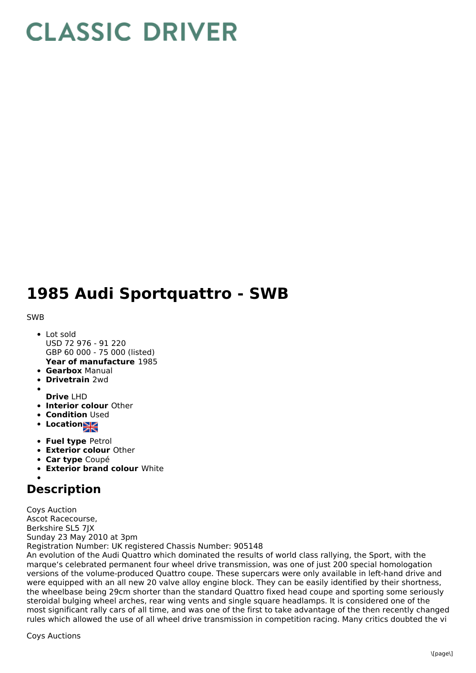## **CLASSIC DRIVER**

## **1985 Audi Sportquattro - SWB**

## SWB

- **Year of manufacture** 1985 • Lot sold USD 72 976 - 91 220 GBP 60 000 - 75 000 (listed)
- **Gearbox** Manual
- **Drivetrain** 2wd
- **Drive** LHD
- **Interior colour** Other
- **Condition Used**
- Location
- **Fuel type** Petrol
- **Exterior colour** Other
- **Car type** Coupé
- **Exterior brand colour** White

## **Description**

Coys Auction Ascot Racecourse, Berkshire SL5 7JX Sunday 23 May 2010 at 3pm Registration Number: UK registered Chassis Number: 905148

An evolution of the Audi Quattro which dominated the results of world class rallying, the Sport, with the marque's celebrated permanent four wheel drive transmission, was one of just 200 special homologation versions of the volume-produced Quattro coupe. These supercars were only available in left-hand drive and were equipped with an all new 20 valve alloy engine block. They can be easily identified by their shortness, the wheelbase being 29cm shorter than the standard Quattro fixed head coupe and sporting some seriously steroidal bulging wheel arches, rear wing vents and single square headlamps. It is considered one of the most significant rally cars of all time, and was one of the first to take advantage of the then recently changed rules which allowed the use of all wheel drive transmission in competition racing. Many critics doubted the vi

Coys Auctions